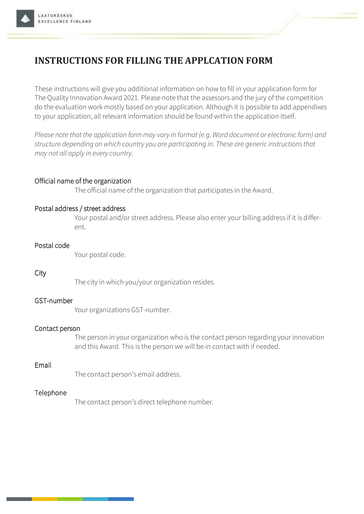# **INSTRUCTIONS FOR FILLING THE APPLCATION FORM**

These instructions will give you additional information on how to fill in your application form for The Quality Innovation Award 2021. Please note that the assessors and the jury of the competition do the evaluation work mostly based on your application. Although it is possible to add appendixes to your application, all relevant information should be found within the application itself.

Please note that the application form may vary in format (e.g. Word document or electronic form) and structure depending on which country you are participating in. These are generic instructions that may not all apply in every country.

# Official name of the organization

The official name of the organization that participates in the Award.

## Postal address / street address

Your postal and/or street address. Please also enter your billing address if it is different.

## Postal code

Your postal code.

## City

The city in which you/your organization resides.

## GST-number

Your organizations GST-number.

## Contact person

The person in your organization who is the contact person regarding your innovation and this Award. This is the person we will be in contact with if needed.

## Fmail

The contact person's email address.

# Telephone

The contact person's direct telephone number.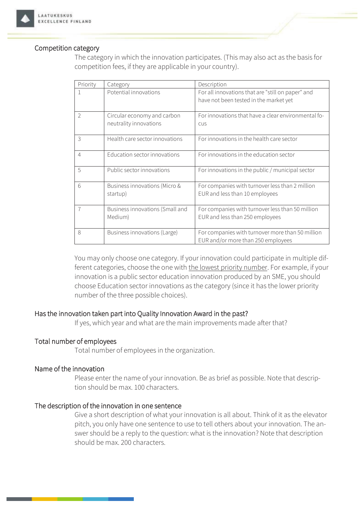

## Competition category

The category in which the innovation participates. (This may also act as the basis for competition fees, if they are applicable in your country).

| Priority       | Category                                              | Description                                                                                 |
|----------------|-------------------------------------------------------|---------------------------------------------------------------------------------------------|
|                | Potential innovations                                 | For all innovations that are "still on paper" and<br>have not been tested in the market yet |
| $\overline{2}$ | Circular economy and carbon<br>neutrality innovations | For innovations that have a clear environmental fo-<br><b>CUS</b>                           |
| 3              | Health care sector innovations                        | For innovations in the health care sector                                                   |
| $\overline{4}$ | Education sector innovations                          | For innovations in the education sector                                                     |
| 5              | Public sector innovations                             | For innovations in the public / municipal sector                                            |
| 6              | Business innovations (Micro &<br>startup)             | For companies with turnover less than 2 million<br>EUR and less than 10 employees           |
|                | Business innovations (Small and<br>Medium)            | For companies with turnover less than 50 million<br>EUR and less than 250 employees         |
| 8              | Business innovations (Large)                          | For companies with turnover more than 50 million<br>EUR and/or more than 250 employees      |

You may only choose one category. If your innovation could participate in multiple different categories, choose the one with the lowest priority number. For example, if your innovation is a public sector education innovation produced by an SME, you should choose Education sector innovations as the category (since it has the lower priority number of the three possible choices).

## Has the innovation taken part into Quality Innovation Award in the past?

If yes, which year and what are the main improvements made after that?

## Total number of employees

Total number of employees in the organization.

#### Name of the innovation

Please enter the name of your innovation. Be as brief as possible. Note that description should be max. 100 characters.

## The description of the innovation in one sentence

Give a short description of what your innovation is all about. Think of it as the elevator pitch, you only have one sentence to use to tell others about your innovation. The answer should be a reply to the question: what is the innovation? Note that description should be max 200 characters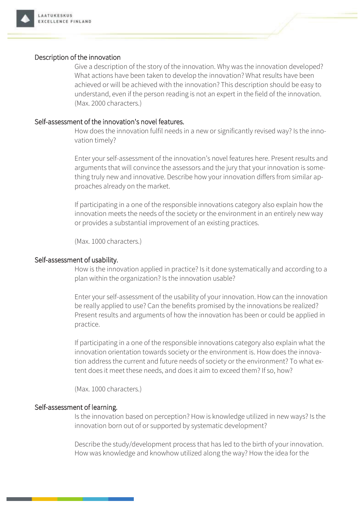

## Description of the innovation

Give a description of the story of the innovation. Why was the innovation developed? What actions have been taken to develop the innovation? What results have been achieved or will be achieved with the innovation? This description should be easy to understand, even if the person reading is not an expert in the field of the innovation. (Max. 2000 characters.)

#### Self-assessment of the innovation's novel features.

How does the innovation fulfil needs in a new or significantly revised way? Is the innovation timely?

Enter your self-assessment of the innovation's novel features here. Present results and arguments that will convince the assessors and the jury that your innovation is something truly new and innovative. Describe how your innovation differs from similar approaches already on the market.

If participating in a one of the responsible innovations category also explain how the innovation meets the needs of the society or the environment in an entirely new way or provides a substantial improvement of an existing practices.

(Max. 1000 characters.)

#### Self-assessment of usability.

How is the innovation applied in practice? Is it done systematically and according to a plan within the organization? Is the innovation usable?

Enter your self-assessment of the usability of your innovation. How can the innovation be really applied to use? Can the benefits promised by the innovations be realized? Present results and arguments of how the innovation has been or could be applied in practice.

If participating in a one of the responsible innovations category also explain what the innovation orientation towards society or the environment is. How does the innovation address the current and future needs of society or the environment? To what extent does it meet these needs, and does it aim to exceed them? If so, how?

(Max. 1000 characters.)

#### Self-assessment of learning.

Is the innovation based on perception? How is knowledge utilized in new ways? Is the innovation born out of or supported by systematic development?

Describe the study/development process that has led to the birth of your innovation. How was knowledge and knowhow utilized along the way? How the idea for the